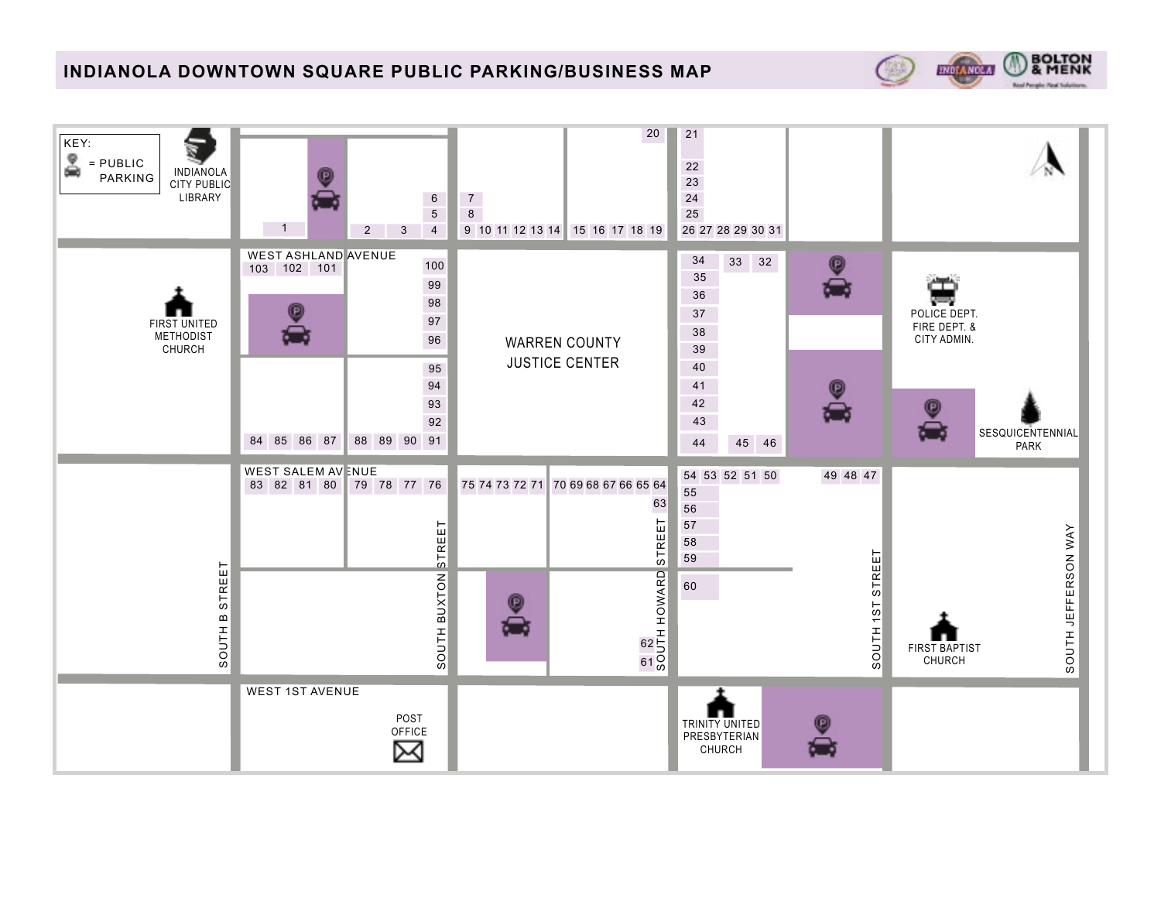## **INDIANOLA DOWNTOWN SQUARE PUBLIC PARKING/BUSINESS MAP**